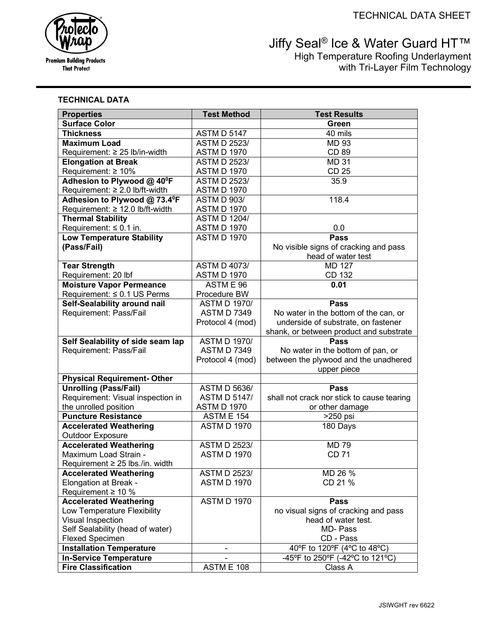# **Premium Building Products That Protect**

# Vertical® Ice & Water Guard HT™ High Temperature Roofing Underlayment with Tri-Layer Film Technology

# **TECHNICAL DATA**

| <b>Properties</b>                    | <b>Test Method</b>  | <b>Test Results</b>                        |
|--------------------------------------|---------------------|--------------------------------------------|
| <b>Surface Color</b>                 |                     | Green                                      |
| <b>Thickness</b>                     | <b>ASTM D 5147</b>  | 40 mils                                    |
| <b>Maximum Load</b>                  | <b>ASTM D 2523/</b> | <b>MD 93</b>                               |
| Requirement: ≥ 25 lb/in-width        | <b>ASTM D 1970</b>  | CD 89                                      |
| <b>Elongation at Break</b>           | <b>ASTM D 2523/</b> | <b>MD 31</b>                               |
| Requirement: $\geq 10\%$             | <b>ASTM D 1970</b>  | <b>CD 25</b>                               |
| Adhesion to Plywood @ 40°F           | <b>ASTM D 2523/</b> | 35.9                                       |
| Requirement: ≥ 2.0 lb/ft-width       | <b>ASTM D 1970</b>  |                                            |
| Adhesion to Plywood @ 73.4°F         | <b>ASTM D 903/</b>  | 118.4                                      |
| Requirement: ≥ 12.0 lb/ft-width      | <b>ASTM D 1970</b>  |                                            |
| <b>Thermal Stability</b>             | <b>ASTM D 1204/</b> |                                            |
| Requirement: $\leq 0.1$ in.          | <b>ASTM D 1970</b>  | 0.0                                        |
| <b>Low Temperature Stability</b>     | <b>ASTM D 1970</b>  | <b>Pass</b>                                |
| (Pass/Fail)                          |                     | No visible signs of cracking and pass      |
|                                      |                     | head of water test                         |
| <b>Tear Strength</b>                 | <b>ASTM D 4073/</b> | <b>MD 127</b>                              |
| Requirement: 20 lbf                  | <b>ASTM D 1970</b>  | CD 132                                     |
| <b>Moisture Vapor Permeance</b>      | ASTM E 96           | 0.01                                       |
| Requirement: ≤ 0.1 US Perms          | Procedure BW        |                                            |
| Self-Sealability around nail         | <b>ASTM D 1970/</b> | <b>Pass</b>                                |
| Requirement: Pass/Fail               | <b>ASTM D 7349</b>  | No water in the bottom of the can, or      |
|                                      | Protocol 4 (mod)    | underside of substrate, on fastener        |
|                                      |                     | shank, or between product and substrate    |
| Self Sealability of side seam lap    | <b>ASTM D 1970/</b> | <b>Pass</b>                                |
| Requirement: Pass/Fail               | <b>ASTM D 7349</b>  | No water in the bottom of pan, or          |
|                                      | Protocol 4 (mod)    | between the plywood and the unadhered      |
|                                      |                     | upper piece                                |
| <b>Physical Requirement- Other</b>   |                     |                                            |
| <b>Unrolling (Pass/Fail)</b>         | <b>ASTM D 5636/</b> | <b>Pass</b>                                |
| Requirement: Visual inspection in    | <b>ASTM D 5147/</b> | shall not crack nor stick to cause tearing |
| the unrolled position                | <b>ASTM D 1970</b>  | or other damage                            |
| <b>Puncture Resistance</b>           | <b>ASTM E 154</b>   | >250 psi                                   |
| <b>Accelerated Weathering</b>        | <b>ASTM D 1970</b>  | 180 Days                                   |
| <b>Outdoor Exposure</b>              |                     |                                            |
| <b>Accelerated Weathering</b>        | <b>ASTM D 2523/</b> | <b>MD 79</b>                               |
| Maximum Load Strain -                | <b>ASTM D 1970</b>  | <b>CD 71</b>                               |
| Requirement $\geq 25$ lbs./in. width |                     |                                            |
| <b>Accelerated Weathering</b>        | <b>ASTM D 2523/</b> | MD 26 %                                    |
| <b>Elongation at Break -</b>         | <b>ASTM D 1970</b>  | CD 21 %                                    |
| Requirement $\geq 10$ %              |                     |                                            |
| <b>Accelerated Weathering</b>        | <b>ASTM D 1970</b>  | Pass                                       |
| Low Temperature Flexibility          |                     | no visual signs of cracking and pass       |
| Visual Inspection                    |                     | head of water test.                        |
| Self Sealability (head of water)     |                     | MD-Pass                                    |
| <b>Flexed Specimen</b>               |                     | CD - Pass                                  |
| <b>Installation Temperature</b>      |                     | 40°F to 120°F (4°C to 48°C)                |
| <b>In-Service Temperature</b>        |                     | -45°F to 250°F (-42°C to 121°C)            |
| <b>Fire Classification</b>           | ASTM E 108          | Class A                                    |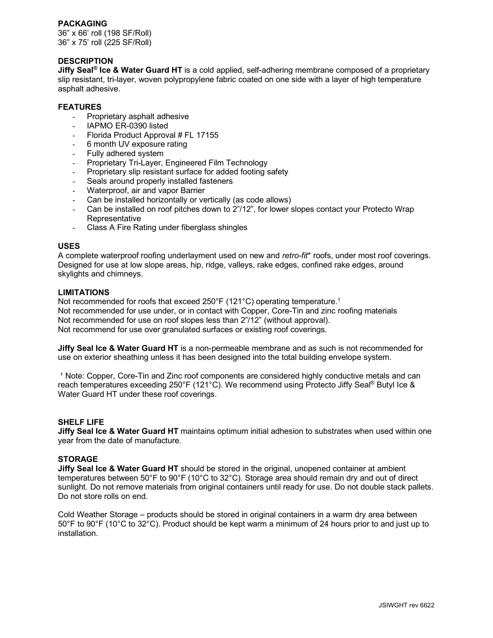# **PACKAGING**

36" x 66' roll (198 SF/Roll) 36" x 75' roll (225 SF/Roll)

# **DESCRIPTION**

**Jiffy Seal® Ice & Water Guard HT** is a cold applied, self-adhering membrane composed of a proprietary slip resistant, tri-layer, woven polypropylene fabric coated on one side with a layer of high temperature asphalt adhesive.

# **FEATURES**

- Proprietary asphalt adhesive
- IAPMO ER-0390 listed
- Florida Product Approval # FL 17155
- 6 month UV exposure rating
- Fully adhered system
- Proprietary Tri-Layer, Engineered Film Technology
- Proprietary slip resistant surface for added footing safety
- Seals around properly installed fasteners
- Waterproof, air and vapor Barrier
- Can be installed horizontally or vertically (as code allows)
- Can be installed on roof pitches down to 2"/12", for lower slopes contact your Protecto Wrap **Representative**
- Class A Fire Rating under fiberglass shingles

## **USES**

A complete waterproof roofing underlayment used on new and *retro-fit*\* roofs, under most roof coverings. Designed for use at low slope areas, hip, ridge, valleys, rake edges, confined rake edges, around skylights and chimneys.

#### **LIMITATIONS**

Not recommended for roofs that exceed 250°F (121°C) operating temperature.<sup>1</sup> Not recommended for use under, or in contact with Copper, Core-Tin and zinc roofing materials Not recommended for use on roof slopes less than 2"/12" (without approval). Not recommend for use over granulated surfaces or existing roof coverings.

**Jiffy Seal Ice & Water Guard HT** is a non-permeable membrane and as such is not recommended for use on exterior sheathing unless it has been designed into the total building envelope system.

<sup>1</sup> Note: Copper, Core-Tin and Zinc roof components are considered highly conductive metals and can reach temperatures exceeding 250°F (121°C). We recommend using Protecto Jiffy Seal® Butyl Ice & Water Guard HT under these roof coverings.

#### **SHELF LIFE**

**Jiffy Seal Ice & Water Guard HT** maintains optimum initial adhesion to substrates when used within one year from the date of manufacture.

#### **STORAGE**

**Jiffy Seal Ice & Water Guard HT** should be stored in the original, unopened container at ambient temperatures between 50°F to 90°F (10°C to 32°C). Storage area should remain dry and out of direct sunlight. Do not remove materials from original containers until ready for use. Do not double stack pallets. Do not store rolls on end.

Cold Weather Storage – products should be stored in original containers in a warm dry area between 50°F to 90°F (10°C to 32°C). Product should be kept warm a minimum of 24 hours prior to and just up to installation.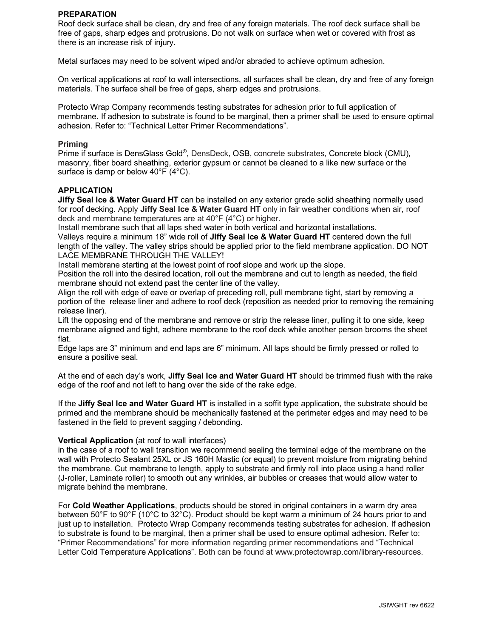## **PREPARATION**

Roof deck surface shall be clean, dry and free of any foreign materials. The roof deck surface shall be free of gaps, sharp edges and protrusions. Do not walk on surface when wet or covered with frost as there is an increase risk of injury.

Metal surfaces may need to be solvent wiped and/or abraded to achieve optimum adhesion.

On vertical applications at roof to wall intersections, all surfaces shall be clean, dry and free of any foreign materials. The surface shall be free of gaps, sharp edges and protrusions.

Protecto Wrap Company recommends testing substrates for adhesion prior to full application of membrane. If adhesion to substrate is found to be marginal, then a primer shall be used to ensure optimal adhesion. Refer to: "Technical Letter Primer Recommendations".

#### **Priming**

Prime if surface is DensGlass Gold®, DensDeck, OSB, concrete substrates, Concrete block (CMU), masonry, fiber board sheathing, exterior gypsum or cannot be cleaned to a like new surface or the surface is damp or below 40°F (4°C).

# **APPLICATION**

**Jiffy Seal Ice & Water Guard HT** can be installed on any exterior grade solid sheathing normally used for roof decking. Apply **Jiffy Seal Ice & Water Guard HT** only in fair weather conditions when air, roof deck and membrane temperatures are at 40°F (4°C) or higher.

Install membrane such that all laps shed water in both vertical and horizontal installations.

Valleys require a minimum 18" wide roll of **Jiffy Seal Ice & Water Guard HT** centered down the full length of the valley. The valley strips should be applied prior to the field membrane application. DO NOT LACE MEMBRANE THROUGH THE VALLEY!

Install membrane starting at the lowest point of roof slope and work up the slope.

Position the roll into the desired location, roll out the membrane and cut to length as needed, the field membrane should not extend past the center line of the valley.

Align the roll with edge of eave or overlap of preceding roll, pull membrane tight, start by removing a portion of the release liner and adhere to roof deck (reposition as needed prior to removing the remaining release liner).

Lift the opposing end of the membrane and remove or strip the release liner, pulling it to one side, keep membrane aligned and tight, adhere membrane to the roof deck while another person brooms the sheet flat.

Edge laps are 3" minimum and end laps are 6" minimum. All laps should be firmly pressed or rolled to ensure a positive seal.

At the end of each day's work, **Jiffy Seal Ice and Water Guard HT** should be trimmed flush with the rake edge of the roof and not left to hang over the side of the rake edge.

If the **Jiffy Seal Ice and Water Guard HT** is installed in a soffit type application, the substrate should be primed and the membrane should be mechanically fastened at the perimeter edges and may need to be fastened in the field to prevent sagging / debonding.

#### **Vertical Application** (at roof to wall interfaces)

in the case of a roof to wall transition we recommend sealing the terminal edge of the membrane on the wall with Protecto Sealant 25XL or JS 160H Mastic (or equal) to prevent moisture from migrating behind the membrane. Cut membrane to length, apply to substrate and firmly roll into place using a hand roller (J-roller, Laminate roller) to smooth out any wrinkles, air bubbles or creases that would allow water to migrate behind the membrane.

For **Cold Weather Applications**, products should be stored in original containers in a warm dry area between 50°F to 90°F (10°C to 32°C). Product should be kept warm a minimum of 24 hours prior to and just up to installation. Protecto Wrap Company recommends testing substrates for adhesion. If adhesion to substrate is found to be marginal, then a primer shall be used to ensure optimal adhesion. Refer to: "Primer Recommendations" for more information regarding primer recommendations and "Technical Letter Cold Temperature Applications". Both can be found at www.protectowrap.com/library-resources.